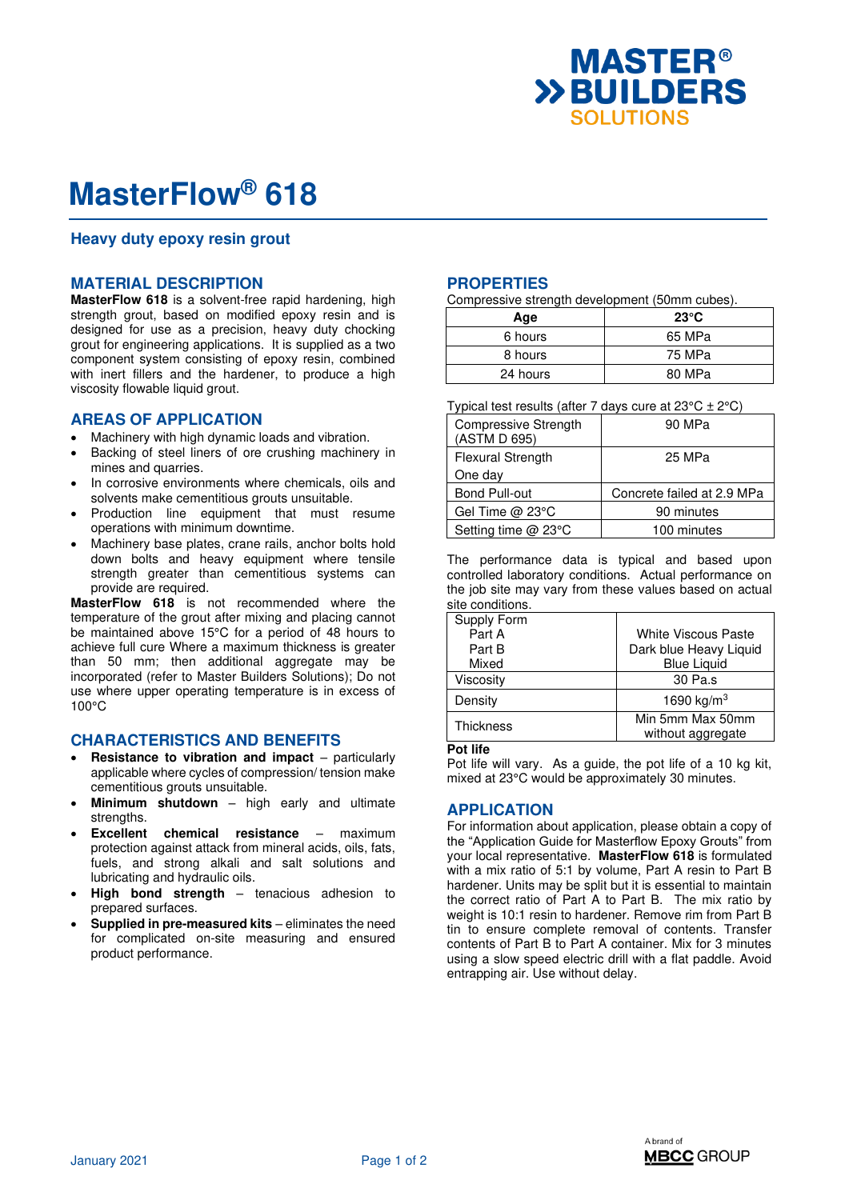

# **MasterFlow® 618**

## **Heavy duty epoxy resin grout**

### **MATERIAL DESCRIPTION**

**MasterFlow 618** is a solvent-free rapid hardening, high strength grout, based on modified epoxy resin and is designed for use as a precision, heavy duty chocking grout for engineering applications. It is supplied as a two component system consisting of epoxy resin, combined with inert fillers and the hardener, to produce a high viscosity flowable liquid grout.

### **AREAS OF APPLICATION**

- Machinery with high dynamic loads and vibration.
- Backing of steel liners of ore crushing machinery in mines and quarries.
- In corrosive environments where chemicals, oils and solvents make cementitious grouts unsuitable.
- Production line equipment that must resume operations with minimum downtime.
- Machinery base plates, crane rails, anchor bolts hold down bolts and heavy equipment where tensile strength greater than cementitious systems can provide are required.

**MasterFlow 618** is not recommended where the temperature of the grout after mixing and placing cannot be maintained above 15°C for a period of 48 hours to achieve full cure Where a maximum thickness is greater than 50 mm; then additional aggregate may be incorporated (refer to Master Builders Solutions); Do not use where upper operating temperature is in excess of 100°C

## **CHARACTERISTICS AND BENEFITS**

- **Resistance to vibration and impact** particularly applicable where cycles of compression/ tension make cementitious grouts unsuitable.
- **Minimum shutdown** high early and ultimate strengths.
- **Excellent chemical resistance** maximum protection against attack from mineral acids, oils, fats, fuels, and strong alkali and salt solutions and lubricating and hydraulic oils.
- **High bond strength** tenacious adhesion to prepared surfaces.
- **Supplied in pre-measured kits** eliminates the need for complicated on-site measuring and ensured product performance.

## **PROPERTIES**

Compressive strength development (50mm cubes).

| Age      | $23^{\circ}$ C |
|----------|----------------|
| 6 hours  | 65 MPa         |
| 8 hours  | 75 MPa         |
| 24 hours | 80 MPa         |

Typical test results (after 7 days cure at  $23^{\circ}$ C  $\pm$  2 $^{\circ}$ C)

| <b>Compressive Strength</b><br>(ASTM D 695) | 90 MPa                     |
|---------------------------------------------|----------------------------|
| <b>Flexural Strength</b>                    | 25 MPa                     |
| One day                                     |                            |
| <b>Bond Pull-out</b>                        | Concrete failed at 2.9 MPa |
| Gel Time @ 23°C                             | 90 minutes                 |
| Setting time @ 23°C                         | 100 minutes                |

The performance data is typical and based upon controlled laboratory conditions. Actual performance on the job site may vary from these values based on actual site conditions.

| Supply Form |                            |  |
|-------------|----------------------------|--|
| Part A      | <b>White Viscous Paste</b> |  |
| Part B      | Dark blue Heavy Liquid     |  |
| Mixed       | <b>Blue Liquid</b>         |  |
| Viscosity   | 30 Pa.s                    |  |
| Density     | 1690 kg/m <sup>3</sup>     |  |
| Thickness   | Min 5mm Max 50mm           |  |
|             | without aggregate          |  |

#### **Pot life**

Pot life will vary. As a guide, the pot life of a 10 kg kit, mixed at 23°C would be approximately 30 minutes.

## **APPLICATION**

For information about application, please obtain a copy of the "Application Guide for Masterflow Epoxy Grouts" from your local representative. **MasterFlow 618** is formulated with a mix ratio of 5:1 by volume, Part A resin to Part B hardener. Units may be split but it is essential to maintain the correct ratio of Part A to Part B. The mix ratio by weight is 10:1 resin to hardener. Remove rim from Part B tin to ensure complete removal of contents. Transfer contents of Part B to Part A container. Mix for 3 minutes using a slow speed electric drill with a flat paddle. Avoid entrapping air. Use without delay.